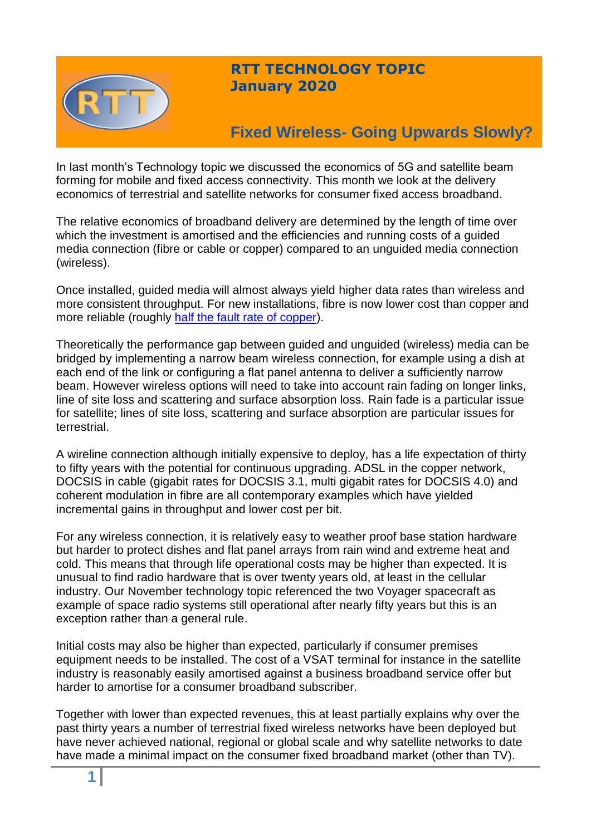

## **RTT TECHNOLOGY TOPIC January 2020**

# **Fixed Wireless- Going Upwards Slowly?**

In last month's Technology topic we discussed the economics of 5G and satellite beam forming for mobile and fixed access connectivity. This month we look at the delivery economics of terrestrial and satellite networks for consumer fixed access broadband.

The relative economics of broadband delivery are determined by the length of time over which the investment is amortised and the efficiencies and running costs of a quided media connection (fibre or cable or copper) compared to an unguided media connection (wireless).

Once installed, guided media will almost always yield higher data rates than wireless and more consistent throughput. For new installations, fibre is now lower cost than copper and more reliable (roughly [half the fault rate of copper\)](https://www.frontier-economics.com/uk/en/news-and-articles/case-studies/case-study-i2900-communications-more-fibre-in-the-broadband-diet/).

Theoretically the performance gap between guided and unguided (wireless) media can be bridged by implementing a narrow beam wireless connection, for example using a dish at each end of the link or configuring a flat panel antenna to deliver a sufficiently narrow beam. However wireless options will need to take into account rain fading on longer links, line of site loss and scattering and surface absorption loss. Rain fade is a particular issue for satellite; lines of site loss, scattering and surface absorption are particular issues for terrestrial.

A wireline connection although initially expensive to deploy, has a life expectation of thirty to fifty years with the potential for continuous upgrading. ADSL in the copper network, DOCSIS in cable (gigabit rates for DOCSIS 3.1, multi gigabit rates for DOCSIS 4.0) and coherent modulation in fibre are all contemporary examples which have yielded incremental gains in throughput and lower cost per bit.

For any wireless connection, it is relatively easy to weather proof base station hardware but harder to protect dishes and flat panel arrays from rain wind and extreme heat and cold. This means that through life operational costs may be higher than expected. It is unusual to find radio hardware that is over twenty years old, at least in the cellular industry. Our November technology topic referenced the two Voyager spacecraft as example of space radio systems still operational after nearly fifty years but this is an exception rather than a general rule.

Initial costs may also be higher than expected, particularly if consumer premises equipment needs to be installed. The cost of a VSAT terminal for instance in the satellite industry is reasonably easily amortised against a business broadband service offer but harder to amortise for a consumer broadband subscriber.

Together with lower than expected revenues, this at least partially explains why over the past thirty years a number of terrestrial fixed wireless networks have been deployed but have never achieved national, regional or global scale and why satellite networks to date have made a minimal impact on the consumer fixed broadband market (other than TV).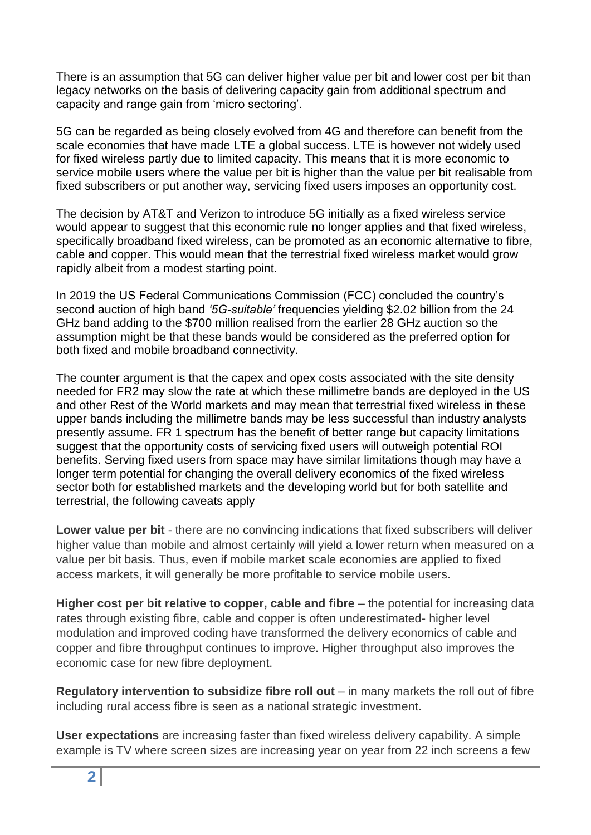There is an assumption that 5G can deliver higher value per bit and lower cost per bit than legacy networks on the basis of delivering capacity gain from additional spectrum and capacity and range gain from 'micro sectoring'.

5G can be regarded as being closely evolved from 4G and therefore can benefit from the scale economies that have made LTE a global success. LTE is however not widely used for fixed wireless partly due to limited capacity. This means that it is more economic to service mobile users where the value per bit is higher than the value per bit realisable from fixed subscribers or put another way, servicing fixed users imposes an opportunity cost.

The decision by AT&T and Verizon to introduce 5G initially as a fixed wireless service would appear to suggest that this economic rule no longer applies and that fixed wireless, specifically broadband fixed wireless, can be promoted as an economic alternative to fibre, cable and copper. This would mean that the terrestrial fixed wireless market would grow rapidly albeit from a modest starting point.

In 2019 the US Federal Communications Commission (FCC) concluded the country's second auction of high band *'5G-suitable'* frequencies yielding \$2.02 billion from the 24 GHz band adding to the \$700 million realised from the earlier 28 GHz auction so the assumption might be that these bands would be considered as the preferred option for both fixed and mobile broadband connectivity.

The counter argument is that the capex and opex costs associated with the site density needed for FR2 may slow the rate at which these millimetre bands are deployed in the US and other Rest of the World markets and may mean that terrestrial fixed wireless in these upper bands including the millimetre bands may be less successful than industry analysts presently assume. FR 1 spectrum has the benefit of better range but capacity limitations suggest that the opportunity costs of servicing fixed users will outweigh potential ROI benefits. Serving fixed users from space may have similar limitations though may have a longer term potential for changing the overall delivery economics of the fixed wireless sector both for established markets and the developing world but for both satellite and terrestrial, the following caveats apply

**Lower value per bit** - there are no convincing indications that fixed subscribers will deliver higher value than mobile and almost certainly will yield a lower return when measured on a value per bit basis. Thus, even if mobile market scale economies are applied to fixed access markets, it will generally be more profitable to service mobile users.

**Higher cost per bit relative to copper, cable and fibre** – the potential for increasing data rates through existing fibre, cable and copper is often underestimated- higher level modulation and improved coding have transformed the delivery economics of cable and copper and fibre throughput continues to improve. Higher throughput also improves the economic case for new fibre deployment.

**Regulatory intervention to subsidize fibre roll out** – in many markets the roll out of fibre including rural access fibre is seen as a national strategic investment.

**User expectations** are increasing faster than fixed wireless delivery capability. A simple example is TV where screen sizes are increasing year on year from 22 inch screens a few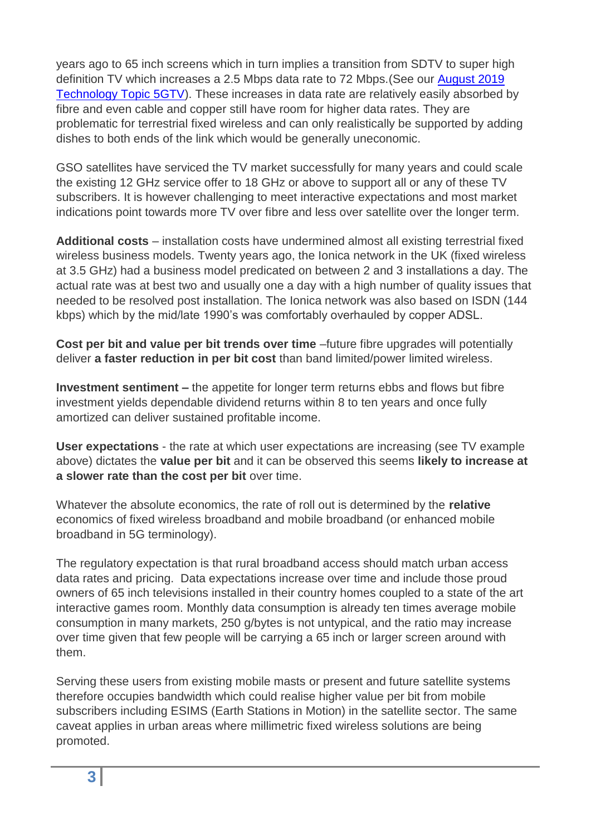years ago to 65 inch screens which in turn implies a transition from SDTV to super high definition TV which increases a 2.5 Mbps data rate to 72 Mbps.(See our [August 2019](https://www.rttonline.com/tt/TT2019_008.pdf)  [Technology Topic 5GTV\)](https://www.rttonline.com/tt/TT2019_008.pdf). These increases in data rate are relatively easily absorbed by fibre and even cable and copper still have room for higher data rates. They are problematic for terrestrial fixed wireless and can only realistically be supported by adding dishes to both ends of the link which would be generally uneconomic.

GSO satellites have serviced the TV market successfully for many years and could scale the existing 12 GHz service offer to 18 GHz or above to support all or any of these TV subscribers. It is however challenging to meet interactive expectations and most market indications point towards more TV over fibre and less over satellite over the longer term.

**Additional costs** – installation costs have undermined almost all existing terrestrial fixed wireless business models. Twenty years ago, the Ionica network in the UK (fixed wireless at 3.5 GHz) had a business model predicated on between 2 and 3 installations a day. The actual rate was at best two and usually one a day with a high number of quality issues that needed to be resolved post installation. The Ionica network was also based on ISDN (144 kbps) which by the mid/late 1990's was comfortably overhauled by copper ADSL.

**Cost per bit and value per bit trends over time** –future fibre upgrades will potentially deliver **a faster reduction in per bit cost** than band limited/power limited wireless.

**Investment sentiment –** the appetite for longer term returns ebbs and flows but fibre investment yields dependable dividend returns within 8 to ten years and once fully amortized can deliver sustained profitable income.

**User expectations** - the rate at which user expectations are increasing (see TV example above) dictates the **value per bit** and it can be observed this seems **likely to increase at a slower rate than the cost per bit** over time.

Whatever the absolute economics, the rate of roll out is determined by the **relative**  economics of fixed wireless broadband and mobile broadband (or enhanced mobile broadband in 5G terminology).

The regulatory expectation is that rural broadband access should match urban access data rates and pricing. Data expectations increase over time and include those proud owners of 65 inch televisions installed in their country homes coupled to a state of the art interactive games room. Monthly data consumption is already ten times average mobile consumption in many markets, 250 g/bytes is not untypical, and the ratio may increase over time given that few people will be carrying a 65 inch or larger screen around with them.

Serving these users from existing mobile masts or present and future satellite systems therefore occupies bandwidth which could realise higher value per bit from mobile subscribers including ESIMS (Earth Stations in Motion) in the satellite sector. The same caveat applies in urban areas where millimetric fixed wireless solutions are being promoted.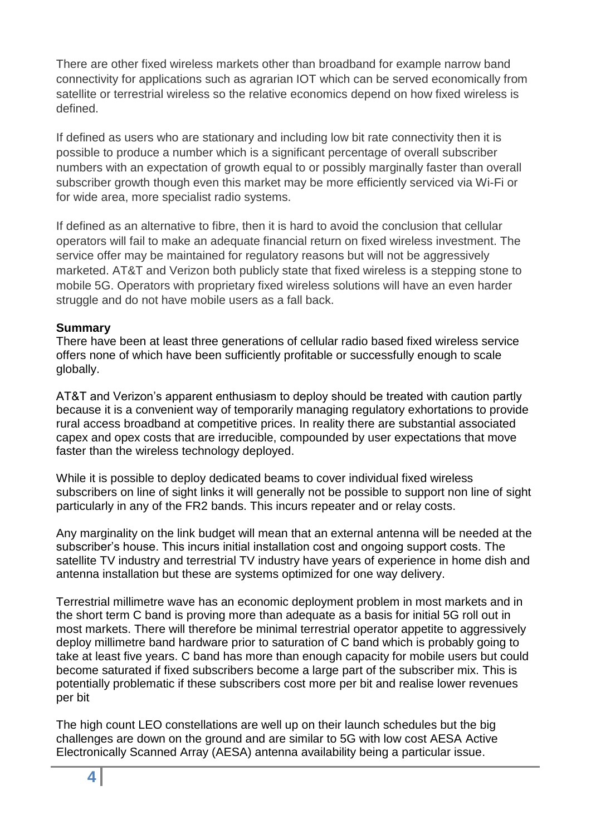There are other fixed wireless markets other than broadband for example narrow band connectivity for applications such as agrarian IOT which can be served economically from satellite or terrestrial wireless so the relative economics depend on how fixed wireless is defined.

If defined as users who are stationary and including low bit rate connectivity then it is possible to produce a number which is a significant percentage of overall subscriber numbers with an expectation of growth equal to or possibly marginally faster than overall subscriber growth though even this market may be more efficiently serviced via Wi-Fi or for wide area, more specialist radio systems.

If defined as an alternative to fibre, then it is hard to avoid the conclusion that cellular operators will fail to make an adequate financial return on fixed wireless investment. The service offer may be maintained for regulatory reasons but will not be aggressively marketed. AT&T and Verizon both publicly state that fixed wireless is a stepping stone to mobile 5G. Operators with proprietary fixed wireless solutions will have an even harder struggle and do not have mobile users as a fall back.

#### **Summary**

There have been at least three generations of cellular radio based fixed wireless service offers none of which have been sufficiently profitable or successfully enough to scale globally.

AT&T and Verizon's apparent enthusiasm to deploy should be treated with caution partly because it is a convenient way of temporarily managing regulatory exhortations to provide rural access broadband at competitive prices. In reality there are substantial associated capex and opex costs that are irreducible, compounded by user expectations that move faster than the wireless technology deployed.

While it is possible to deploy dedicated beams to cover individual fixed wireless subscribers on line of sight links it will generally not be possible to support non line of sight particularly in any of the FR2 bands. This incurs repeater and or relay costs.

Any marginality on the link budget will mean that an external antenna will be needed at the subscriber's house. This incurs initial installation cost and ongoing support costs. The satellite TV industry and terrestrial TV industry have years of experience in home dish and antenna installation but these are systems optimized for one way delivery.

Terrestrial millimetre wave has an economic deployment problem in most markets and in the short term C band is proving more than adequate as a basis for initial 5G roll out in most markets. There will therefore be minimal terrestrial operator appetite to aggressively deploy millimetre band hardware prior to saturation of C band which is probably going to take at least five years. C band has more than enough capacity for mobile users but could become saturated if fixed subscribers become a large part of the subscriber mix. This is potentially problematic if these subscribers cost more per bit and realise lower revenues per bit

The high count LEO constellations are well up on their launch schedules but the big challenges are down on the ground and are similar to 5G with low cost AESA Active Electronically Scanned Array (AESA) antenna availability being a particular issue.